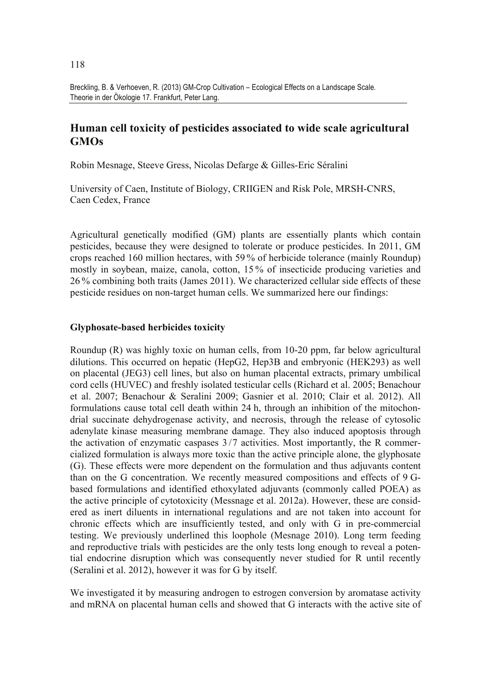Breckling, B. & Verhoeven, R. (2013) GM-Crop Cultivation – Ecological Effects on a Landscape Scale. Theorie in der Ökologie 17. Frankfurt, Peter Lang.

# **Human cell toxicity of pesticides associated to wide scale agricultural GMOs**

Robin Mesnage, Steeve Gress, Nicolas Defarge & Gilles-Eric Séralini

University of Caen, Institute of Biology, CRIIGEN and Risk Pole, MRSH-CNRS, Caen Cedex, France

Agricultural genetically modified (GM) plants are essentially plants which contain pesticides, because they were designed to tolerate or produce pesticides. In 2011, GM crops reached 160 million hectares, with 59 % of herbicide tolerance (mainly Roundup) mostly in soybean, maize, canola, cotton, 15 % of insecticide producing varieties and 26 % combining both traits (James 2011). We characterized cellular side effects of these pesticide residues on non-target human cells. We summarized here our findings:

### **Glyphosate-based herbicides toxicity**

Roundup (R) was highly toxic on human cells, from 10-20 ppm, far below agricultural dilutions. This occurred on hepatic (HepG2, Hep3B and embryonic (HEK293) as well on placental (JEG3) cell lines, but also on human placental extracts, primary umbilical cord cells (HUVEC) and freshly isolated testicular cells (Richard et al. 2005; Benachour et al. 2007; Benachour & Seralini 2009; Gasnier et al. 2010; Clair et al. 2012). All formulations cause total cell death within 24 h, through an inhibition of the mitochondrial succinate dehydrogenase activity, and necrosis, through the release of cytosolic adenylate kinase measuring membrane damage. They also induced apoptosis through the activation of enzymatic caspases 3 /7 activities. Most importantly, the R commercialized formulation is always more toxic than the active principle alone, the glyphosate (G). These effects were more dependent on the formulation and thus adjuvants content than on the G concentration. We recently measured compositions and effects of 9 Gbased formulations and identified ethoxylated adjuvants (commonly called POEA) as the active principle of cytotoxicity (Messnage et al. 2012a). However, these are considered as inert diluents in international regulations and are not taken into account for chronic effects which are insufficiently tested, and only with G in pre-commercial testing. We previously underlined this loophole (Mesnage 2010). Long term feeding and reproductive trials with pesticides are the only tests long enough to reveal a potential endocrine disruption which was consequently never studied for R until recently (Seralini et al. 2012), however it was for G by itself.

We investigated it by measuring androgen to estrogen conversion by aromatase activity and mRNA on placental human cells and showed that G interacts with the active site of

118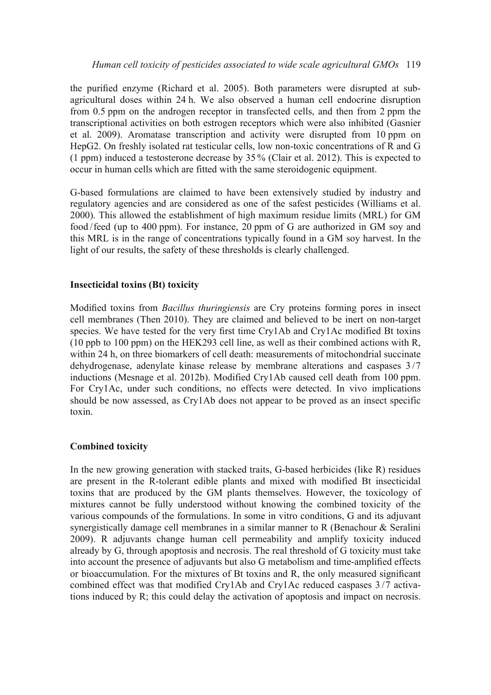the purified enzyme (Richard et al. 2005). Both parameters were disrupted at subagricultural doses within 24 h. We also observed a human cell endocrine disruption from 0.5 ppm on the androgen receptor in transfected cells, and then from 2 ppm the transcriptional activities on both estrogen receptors which were also inhibited (Gasnier et al. 2009). Aromatase transcription and activity were disrupted from 10 ppm on HepG2. On freshly isolated rat testicular cells, low non-toxic concentrations of R and G (1 ppm) induced a testosterone decrease by 35 % (Clair et al. 2012). This is expected to occur in human cells which are fitted with the same steroidogenic equipment.

G-based formulations are claimed to have been extensively studied by industry and regulatory agencies and are considered as one of the safest pesticides (Williams et al. 2000). This allowed the establishment of high maximum residue limits (MRL) for GM food /feed (up to 400 ppm). For instance, 20 ppm of G are authorized in GM soy and this MRL is in the range of concentrations typically found in a GM soy harvest. In the light of our results, the safety of these thresholds is clearly challenged.

## **Insecticidal toxins (Bt) toxicity**

Modi!ed toxins from *Bacillus thuringiensis* are Cry proteins forming pores in insect cell membranes (Then 2010). They are claimed and believed to be inert on non-target species. We have tested for the very first time Cry1Ab and Cry1Ac modified Bt toxins (10 ppb to 100 ppm) on the HEK293 cell line, as well as their combined actions with R, within 24 h, on three biomarkers of cell death: measurements of mitochondrial succinate dehydrogenase, adenylate kinase release by membrane alterations and caspases 3 /7 inductions (Mesnage et al. 2012b). Modified Cry1Ab caused cell death from 100 ppm. For Cry1Ac, under such conditions, no effects were detected. In vivo implications should be now assessed, as Cry1Ab does not appear to be proved as an insect specific toxin.

## **Combined toxicity**

In the new growing generation with stacked traits, G-based herbicides (like R) residues are present in the R-tolerant edible plants and mixed with modified Bt insecticidal toxins that are produced by the GM plants themselves. However, the toxicology of mixtures cannot be fully understood without knowing the combined toxicity of the various compounds of the formulations. In some in vitro conditions, G and its adjuvant synergistically damage cell membranes in a similar manner to R (Benachour & Seralini 2009). R adjuvants change human cell permeability and amplify toxicity induced already by G, through apoptosis and necrosis. The real threshold of G toxicity must take into account the presence of adjuvants but also G metabolism and time-amplified effects or bioaccumulation. For the mixtures of Bt toxins and R, the only measured significant combined effect was that modified Cry1Ab and Cry1Ac reduced caspases 3 /7 activations induced by R; this could delay the activation of apoptosis and impact on necrosis.